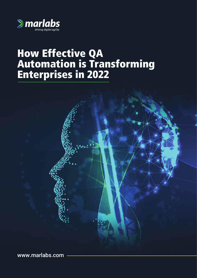

### How Effective QA Automation is Transforming Enterprises in 2022



www.marlabs.com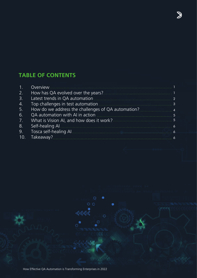#### **TABLE OF CONTENTS**

| 1 <sub>1</sub> |                                    |                |
|----------------|------------------------------------|----------------|
| 2.             | How has QA evolved over the years? |                |
| 3.             |                                    | -2.            |
| 4.             |                                    |                |
| 5.             |                                    |                |
| 6.             |                                    |                |
| 7.             |                                    |                |
| 8.             |                                    | $\overline{6}$ |
| 9.             | Tosca self-healing AL.             | 6              |
| 10.            |                                    | $\overline{6}$ |

 $\bullet$ 

 $\circ$ 

 $\bullet$ 

 $\bullet$ 

 $\sum_{i=1}^{n}$ 

How Effective QA Automation is Transforming Enterprises in 2022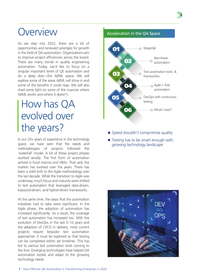

#### **Overview**

As we step into 2022, there are a lot of opportunities and renewed synergies for growth in the field of QA automation. Organizations aim to improve project efficiencies across the board. There are many trends in quality engineering automation. Today, we'd like to focus on a singular important tenet of QE automation and do a deep dive—the AI/ML space. We will explore some of the areas AI/ML will shine in and some of the benefits it could reap. We will also shed some light on some of the nuances where AI/ML works and where it doesn't.

### How has QA evolved over the years?

In our 20+ years of experience in the technology space, we have seen that the needs and methodologies of projects followed the 'waterfall' model. A lot of these project phases worked serially. The first form of automation arrived in Excel macros and VBAs. That said, the market has evolved over the years. There has been a solid shift to the Agile methodology over the last decade. While the transition to Agile was underway, much focus and maturity were shifted to test automation that leveraged data-driven, keyword-driven, and hybrid-driven frameworks.

At the same time, the steps that the automation initiatives had to take were significant. In the Agile phase, the adoption of automation has increased significantly. As a result, the coverage of test automation has increased too. With the evolution of DevOps in the last 5–10 years and the adoption of CI/CD in delivery, most current projects require bespoke test automation approaches. It must be explored so that testing can be completed within set timelines. This has led to various test automation tools coming to the fore. Emerging technologies have helped QA automation evolve and adapt to the growing technology needs.

#### Acceleration in the QA Space



- Speed shouldn't compromise quality
- $\blacksquare$  Testing has to be smart enough with growing technology landscape

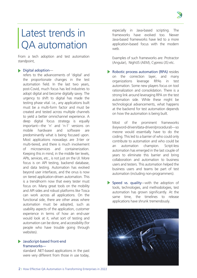### Latest trends in QA automation

From a tech adoption and test automation standpoint,

#### Digital adoption—

refers to the advancements of 'digital' and the proportionate changes in the test automation field. In the last two years, post-Covid, much focus has led industries to adopt digital and become digitally savvy. The urgency to shift to digital has made the testing phase vital. i.e., any applications built must be a multi-form factor and must be created and tested across multiple channels to yield a better omnichannel experience. A deep digital focus strategy is equally important—the 'n' and 'n-1' versions on mobile hardware and software are predominantly what is being focused upon. Most applications nowadays are 3-tier or multi-tiered, and there is much involvement of microservices and containerization. Keeping this in mind, in the middle tier levels, APIs, services, etc., is not just on the UI. More focus is on API testing, backend database, and data testing. Automation has evolved beyond user interfaces, and the onus is now on tiered application-driven automation. This is a trend/norm now that every tester must focus on. Many great tools on the mobility and API sides and robust platforms like Tosca can work across all applications. On the functional side, there are other areas where automation must be adopted, such as usability aspects of the application, customer experience in terms of how an end-user would look at it, what sort of testing and automation can be done, and accessibility (for people who have trouble going through websites).

#### **D** JavaScript-based front-end frameworks—

standard .NET-based applications in the past were very different from those in use today, especially in Java-based scripting. The frameworks have evolved too. Newer Java-based frameworks have led to a more application-based focus with the modern web.

Examples of such frameworks are: Protractor (Angular), NightJS (AEM), Cypress (JS) etc.

**B** Robotic process automation (RPA) resides on the correction layer, and many organizations leverage RPAs in test automation. Some new players focus on tool rationalization and consolidation. There is a strong link around leveraging RPA on the test automation side. While these might be technological advancements, what happens at the backend for test automation depends on how the automation is being built.

Most of the prominent frameworks (keyword-driven/data-driven/procedural)—so meone would essentially have to do the coding. This led to a barrier of who could only contribute to automation and who could be an automation champion. Script-less automation has emerged in the last couple of years to eliminate this barrier and bring collaboration and automation to business users and testers. This automation helped the business users and teams be part of test automation (including non-programmers).

▶ Speed vs. quality—with the adoption of tools, technologies, and methodologies, test automation has grown significantly. At the same time, the timelines to release applications have shrunk tremendously.

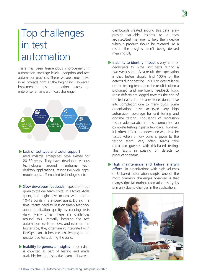### Top challenges in test automation

There has been tremendous improvement in automation coverage levels—adoption and test automation practices. These two are a must-have in all projects right at the beginning. However, implementing test automation across an enterprise remains a difficult challenge.



#### **►** Lack of test type and tester support—

medium/large enterprises have existed for 20–30 years. They have developed various technologies around mainframe tech, desktop applications, responsive web apps, mobile apps, IoT-enabled technologies, etc.

Slow developer feedback—speed of input given to the dev team is vital. In a typical Agile sprint, one might have to deal with around 10–12 builds in a 2-week sprint. During this time, teams need to pass on timely feedback about application quality by running tests daily. Many times, there are challenges around this. Primarily because the test automation levels are low, and even on the higher side, they often aren't integrated with DevOps plans. It becomes challenging to run unattended tests during the build.

Inability to generate insights—much data is collected as part of testing and made available for the respective teams. However, dashboards created around this data rarely provide valuable insights to a tech architect/test manager to help them decide when a product should be released. As a result, the insights aren't being derived meaningfully.

- $\blacktriangleright$  Inability to identify impact is very hard for developers to write unit tests during a two-week sprint. As a result, the expectation is that testers should find 100% of the defects during testing. This is an over-reliance on the testing team, and the result is often a prolonged and inefficient feedback loop. Most defects are logged towards the end of the test cycle, and the user stories don't move into completion due to many bugs. Some organizations have achieved very high automation coverage for unit testing and on-time testing. Thousands of regression tests made available in these companies can complete testing in just a few days. However, it is often difficult to understand what is to be tested when a new build is given to the testing team. Very often, teams take calculated guesses with risk-based testing. This results in passing on defects to production teams.
- **I** High maintenance and failure analysis effort—in organizations with high volumes of UI-based automation scripts, one of the most common challenges observed is that many scripts fail during automation test cycles primarily due to changes in the application.

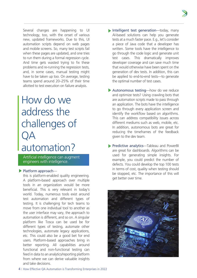Several changes are happening to UI technology, too, with the onset of various new, updated frameworks. Due to this, UI automation scripts depend on web pages and mobile screens. So, many test scripts fail when these pages are updated, and one tries to run them during a formal regression cycle. And time gets wasted trying to fix these problems and re-running the regression tests, and, in some cases, manual testing might have to be taken up too. On average, testing teams spend around 20–25% of their time allotted to test execution on failure analysis.

### How do we address the challenges of QA automation?

Artificial intelligence can augment engineers with intelligence.

#### ▶ Platform approach—

this is platform-enabled quality engineering. A platform-based approach over multiple tools in an organization would be more beneficial. This is very relevant in today's world. Today, numerous tools exist around test automation and different types of testing. It is challenging for tech teams to move from one individual tool to another as the user interface may vary, the approach to automation is different, and so on. A singular platform like Tosca can be used be for different types of testing, automate other technologies, automate legacy applications, etc. This could also be a good bet for end users. Platform-based approaches bring in better reporting. All capabilities around functional and non-functional testing can feed in data to an analytics/reporting platform from where we can derive valuable insights and take decisions.

- **I**. Intelligent test generation—today, many AI-based solutions can help you generate tests at a much faster pace. E.g., let's consider a piece of Java code that a developer has written. Some tools have the intelligence to go through the code logic and generate unit test cases. This dramatically improves developer coverage and can save much time that would otherwise have been spent on the generation of dev tests. In addition, this can be applied to end-to-end tests—to generate the optimal number of test cases.
- **Autonomous testing**—how do we reduce and optimize tests? Using crawling bots that are automation scripts made to pass through an application. The bots have the intelligence to go through every application screen and identify the workflow based on algorithms. This can address compatibility issues across different mediums such as web, mobile, etc. In addition, autonomous bots are great for reducing the timeframes of the feedback given to the dev team.
- Predictive analytics-Tableau and PowerBI are great for dashboards. Algorithms can be used for generating simple insights. For example, you could predict the number of defects. You could develop the top 100 tests in terms of cost, quality when testing should be stopped, etc. The importance of this will get better over time.

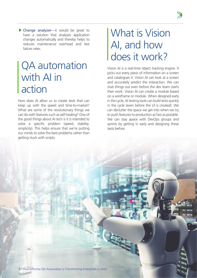**Change analyzer**—it would be great to have a solution that analyses application changes automatically and thereby helps to reduces maintenance overhead and test failure rates.

### QA automation with AI in action

How does AI allow us to create tests that can keep up with the speed and time-to-market? What are some of the revolutionary things we can do with features such as self-healing? One of the good things about AI tech is it is intended to solve a specific problem (speed, stability, simplicity). This helps ensure that we're putting our minds to solve the best problems rather than getting stuck with scripts.

### What is Vision AI, and how does it work?

Vision AI is a real-time object tracking engine. It picks out every piece of information on a screen and catalogues it. Vision AI can look at a screen and accurately predict the interaction. We can stub things out even before the dev team starts their work. Vision AI can create a module based on a wireframe or module. When designed early in the cycle, AI testing tools can build tests quickly in the cycle (even before the UI is created). We can declutter the space we get into when we try to push features to production as fast as possible. We can stay apace with DevOps groups and sprints by getting in early and designing these tests before.

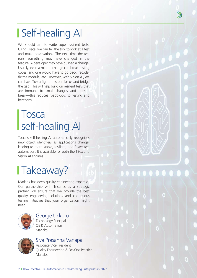# Self-healing AI

We should aim to write super resilient tests. Using Tosca, we can tell the tool to look at a test and make observations. The next time the test runs, something may have changed in the feature. A developer may have pushed a change. Usually, even a minute change can break testing cycles, and one would have to go back, recode, x the module, etc. However, with Vision AI, we can have Tosca figure this out for us and bridge the gap. This will help build on resilient tests that are immune to small changes and doesn't break—this reduces roadblocks to testing and iterations.

## **Tosca** self-healing AI

Tosca's self-healing AI automatically recognizes new object identifiers as applications change, leading to more stable, resilient, and faster test automation. It is available for both the TBox and Vision AI engines.

# Takeaway?

Marlabs has deep quality engineering expertise. Our partnership with Tricentis as a strategic partner will ensure that we provide the best quality engineering solutions and continuous testing initiatives that your organization might need.



George Ukkuru Technology Principal QE & Automation **Marlahs** 



#### Siva Prasanna Vanapalli

Associate Vice President Quality Engineering & DevOps Practice **Marlabs**